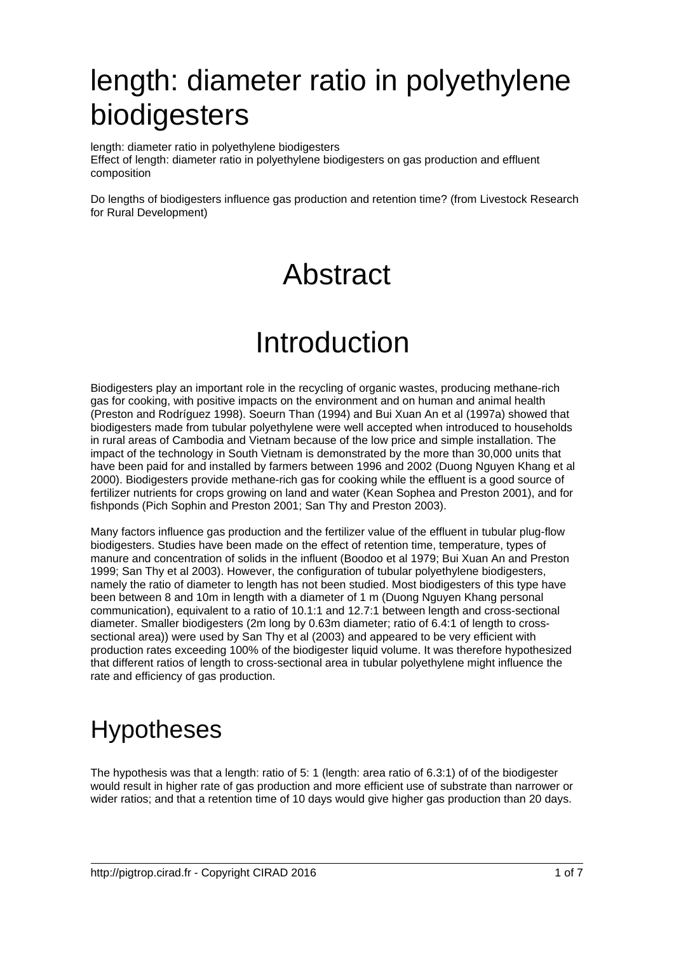## length: diameter ratio in polyethylene biodigesters

length: diameter ratio in polyethylene biodigesters Effect of length: diameter ratio in polyethylene biodigesters on gas production and effluent composition

Do lengths of biodigesters influence gas production and retention time? (from Livestock Research for Rural Development)

## Abstract

## Introduction

Biodigesters play an important role in the recycling of organic wastes, producing methane-rich gas for cooking, with positive impacts on the environment and on human and animal health (Preston and Rodríguez 1998). Soeurn Than (1994) and Bui Xuan An et al (1997a) showed that biodigesters made from tubular polyethylene were well accepted when introduced to households in rural areas of Cambodia and Vietnam because of the low price and simple installation. The impact of the technology in South Vietnam is demonstrated by the more than 30,000 units that have been paid for and installed by farmers between 1996 and 2002 (Duong Nguyen Khang et al 2000). Biodigesters provide methane-rich gas for cooking while the effluent is a good source of fertilizer nutrients for crops growing on land and water (Kean Sophea and Preston 2001), and for fishponds (Pich Sophin and Preston 2001; San Thy and Preston 2003).

Many factors influence gas production and the fertilizer value of the effluent in tubular plug-flow biodigesters. Studies have been made on the effect of retention time, temperature, types of manure and concentration of solids in the influent (Boodoo et al 1979; Bui Xuan An and Preston 1999; San Thy et al 2003). However, the configuration of tubular polyethylene biodigesters, namely the ratio of diameter to length has not been studied. Most biodigesters of this type have been between 8 and 10m in length with a diameter of 1 m (Duong Nguyen Khang personal communication), equivalent to a ratio of 10.1:1 and 12.7:1 between length and cross-sectional diameter. Smaller biodigesters (2m long by 0.63m diameter; ratio of 6.4:1 of length to crosssectional area)) were used by San Thy et al (2003) and appeared to be very efficient with production rates exceeding 100% of the biodigester liquid volume. It was therefore hypothesized that different ratios of length to cross-sectional area in tubular polyethylene might influence the rate and efficiency of gas production.

## Hypotheses

The hypothesis was that a length: ratio of 5: 1 (length: area ratio of 6.3:1) of of the biodigester would result in higher rate of gas production and more efficient use of substrate than narrower or wider ratios; and that a retention time of 10 days would give higher gas production than 20 days.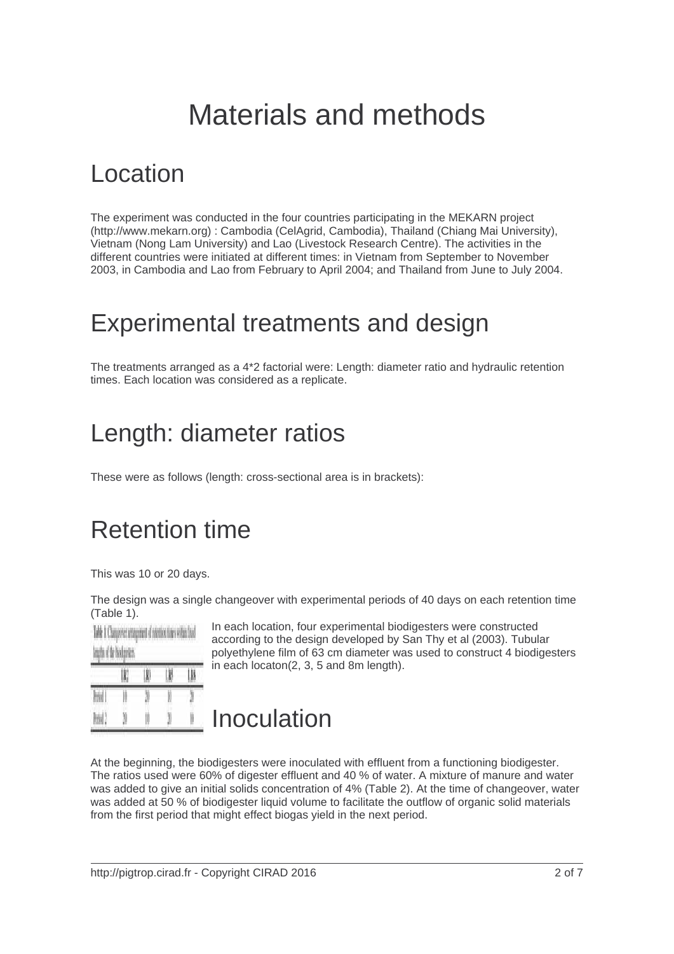## Materials and methods

#### Location

The experiment was conducted in the four countries participating in the MEKARN project (http://www.mekarn.org) : Cambodia (CelAgrid, Cambodia), Thailand (Chiang Mai University), Vietnam (Nong Lam University) and Lao (Livestock Research Centre). The activities in the different countries were initiated at different times: in Vietnam from September to November 2003, in Cambodia and Lao from February to April 2004; and Thailand from June to July 2004.

#### Experimental treatments and design

The treatments arranged as a 4\*2 factorial were: Length: diameter ratio and hydraulic retention times. Each location was considered as a replicate.

#### Length: diameter ratios

These were as follows (length: cross-sectional area is in brackets):

### Retention time

This was 10 or 20 days.

The design was a single changeover with experimental periods of 40 days on each retention time (Table 1).

|             | Table 1: Changeover arrangement of selection times within fixed<br>lengths of the biodigesters. |    |    |    |
|-------------|-------------------------------------------------------------------------------------------------|----|----|----|
|             | I KI                                                                                            |    | IJ |    |
| <b>Rivi</b> |                                                                                                 |    |    |    |
| Nov!        |                                                                                                 | II |    | 10 |

In each location, four experimental biodigesters were constructed according to the design developed by San Thy et al (2003). Tubular polyethylene film of 63 cm diameter was used to construct 4 biodigesters in each locaton(2, 3, 5 and 8m length).

#### Inoculation

At the beginning, the biodigesters were inoculated with effluent from a functioning biodigester. The ratios used were 60% of digester effluent and 40 % of water. A mixture of manure and water was added to give an initial solids concentration of 4% (Table 2). At the time of changeover, water was added at 50 % of biodigester liquid volume to facilitate the outflow of organic solid materials from the first period that might effect biogas yield in the next period.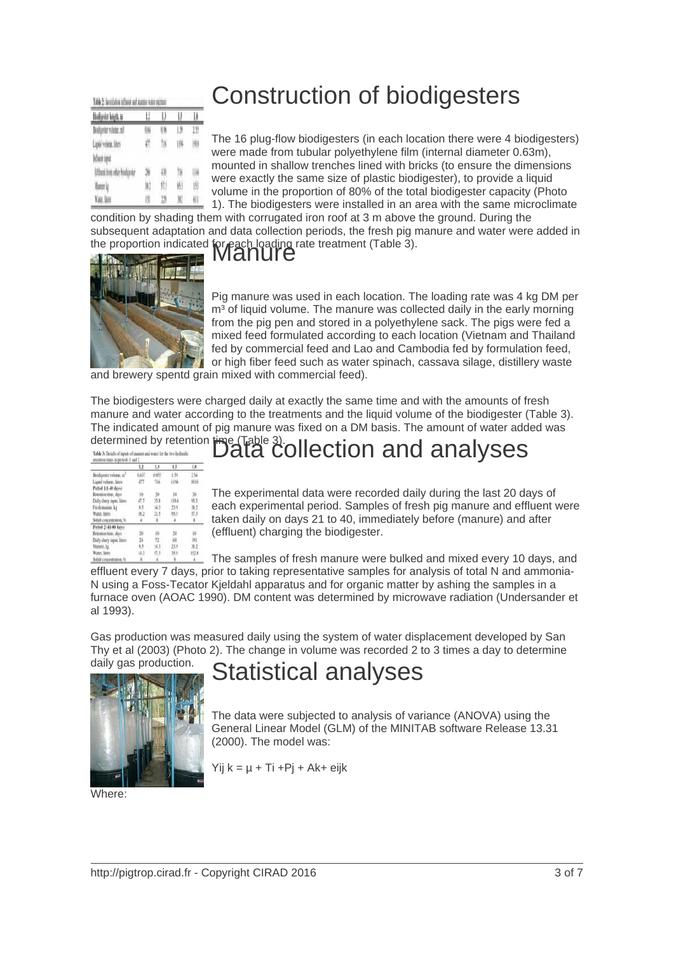| Nodgebr kngth.n           | U   | Ü  | I   |    |
|---------------------------|-----|----|-----|----|
| Bodgeter volune, all      | îЫ  |    | IJ  |    |
| Lipid volvis, Wm-         | iff |    | 114 |    |
| Informated                |     |    |     |    |
| Effect free rise hodgeter |     |    |     |    |
| Moorky                    |     |    |     | 协  |
| <b>Yan Jan</b>            | H   | 18 |     | W. |

#### Construction of biodigesters

The 16 plug-flow biodigesters (in each location there were 4 biodigesters) were made from tubular polyethylene film (internal diameter 0.63m), mounted in shallow trenches lined with bricks (to ensure the dimensions were exactly the same size of plastic biodigester), to provide a liquid volume in the proportion of 80% of the total biodigester capacity (Photo 1). The biodigesters were installed in an area with the same microclimate

condition by shading them with corrugated iron roof at 3 m above the ground. During the subsequent adaptation and data collection periods, the fresh pig manure and water were added in the proportion indicated for each loading rate treatment (Table 3).



Pig manure was used in each location. The loading rate was 4 kg DM per m<sup>3</sup> of liquid volume. The manure was collected daily in the early morning from the pig pen and stored in a polyethylene sack. The pigs were fed a mixed feed formulated according to each location (Vietnam and Thailand fed by commercial feed and Lao and Cambodia fed by formulation feed, or high fiber feed such as water spinach, cassava silage, distillery waste

and brewery spentd grain mixed with commercial feed).

The biodigesters were charged daily at exactly the same time and with the amounts of fresh manure and water according to the treatments and the liquid volume of the biodigester (Table 3). The indicated amount of pig manure was fixed on a DM basis. The amount of water added was determined by retention  $\frac{1}{2}$ 

|                           | E     | LI    | Lß    | L    |
|---------------------------|-------|-------|-------|------|
| Biodigester volume, m'    | 0.657 | 0.955 | 1.59  | 134  |
| Liquid volume, liters     | 437   | Tin   | 1194  | 1910 |
| Period 1(1-40 days)       |       |       |       |      |
| Retention time, days      |       |       | 18    |      |
| Daily dany iaput, blan-   |       |       | 119.4 |      |
| Fresh manure, kg          |       | 14.3  |       |      |
| Water, Skers              |       |       |       | 57.5 |
| Solids concentration.     |       |       |       |      |
| Period 2141-80 days:      |       |       |       |      |
| Retention time, days      |       |       |       |      |
| Daily durry sepat. liters |       | 73    | 60    |      |
| Manare, kg                |       | 14.3  | ш     |      |
| Water, litery             | 14.3  | 57.3  |       |      |
| <b>Solids</b> concentrati |       |       |       |      |

## e (Table 3). Determined time 3). Determined analyses

The experimental data were recorded daily during the last 20 days of each experimental period. Samples of fresh pig manure and effluent were taken daily on days 21 to 40, immediately before (manure) and after (effluent) charging the biodigester.

The samples of fresh manure were bulked and mixed every 10 days, and

effluent every 7 days, prior to taking representative samples for analysis of total N and ammonia-N using a Foss-Tecator Kjeldahl apparatus and for organic matter by ashing the samples in a furnace oven (AOAC 1990). DM content was determined by microwave radiation (Undersander et al 1993).

Gas production was measured daily using the system of water displacement developed by San Thy et al (2003) (Photo 2). The change in volume was recorded 2 to 3 times a day to determine



#### daily gas production.<br>
Statistical analyses

The data were subjected to analysis of variance (ANOVA) using the General Linear Model (GLM) of the MINITAB software Release 13.31 (2000). The model was:

Yij k = µ + Ti +Pj + Ak+ eijk

Where: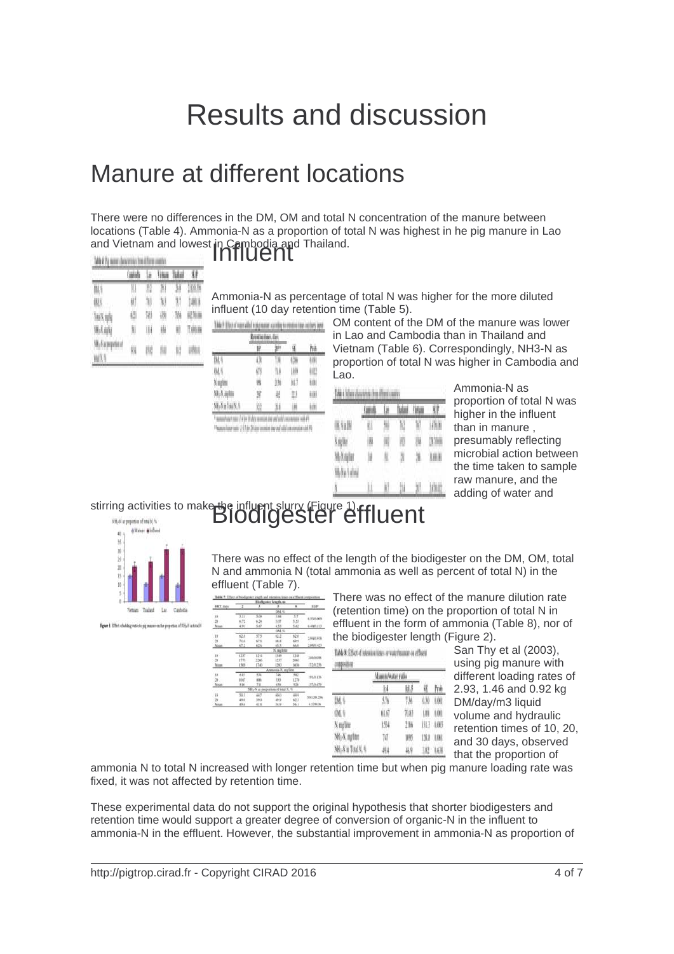## Results and discussion

#### Manure at different locations

There were no differences in the DM, OM and total N concentration of the manure between locations (Table 4). Ammonia-N as a proportion of total N was highest in he pig manure in Lao and Vietnam and lowest in Cambodia and Thailand.

|                     | <b>HAMI</b> | la   | <b>Visa</b> |     |        |
|---------------------|-------------|------|-------------|-----|--------|
| OA. 9               |             | K    | 71          | 1   | 10016  |
| (N)                 | ₩           | M    | N           | 11  | 1481   |
| TelXula             | W           | M    | 48          | 10  | 规矩器    |
| 地方纳                 | M           | W    | W           | Ш   | TIANIN |
| Mr/Supposed<br>wK L | W           | ttid | thi         | II) | utha   |

| nfluent <sup>-</sup> |  |
|----------------------|--|
|                      |  |

Ammonia-N as percentage of total N was higher for the more diluted influent (10 day retention time (Table 5).

|               | <b>Retail o Herr, dan</b> |      |     |    |
|---------------|---------------------------|------|-----|----|
| 海道            | W                         |      | u   | N  |
| m.            |                           |      |     |    |
| IN.           | 613                       | 71.0 | 100 | W. |
| A juliji      |                           | 11%  | WJ. | ŧω |
| Nk-X ight     |                           |      | 加   | ŧШ |
| Mi-Na Tai X % |                           |      |     | lΘ |

OM content of the DM of the manure was lower in Lao and Cambodia than in Thailand and Vietnam (Table 6). Correspondingly, NH3-N as proportion of total N was higher in Cambodia and Lao.

|         |    | ü   | ١W | <b>YM</b> |            |
|---------|----|-----|----|-----------|------------|
| (M.VaDN | 8  | ₩   | W, | ï         | <b>AND</b> |
| N ng My | IM | W   | W  | UM        | 23.70.00   |
| MAnder  | W  | II. | 31 | Ж         | 儿童用        |
| White   |    |     |    |           |            |
|         |    |     | N. |           | ATHAU      |

Ammonia-N as proportion of total N was higher in the influent than in manure , presumably reflecting microbial action between the time taken to sample raw manure, and the adding of water and

# stirring activities to make the influent slurry (Figure 1). Figure 1)<br>Biodigester effluent



Figure 1: 199-t of adding more to pig masses on the proportion of 935, 21 as soul 14

There was no effect of the length of the biodigester on the DM, OM, total N and ammonia N (total ammonia as well as percent of total N) in the effluent (Table 7).

|                |            |        | Biofigenter length, as                         |       |            |
|----------------|------------|--------|------------------------------------------------|-------|------------|
| HRT. days      | Ξ          |        |                                                | х     | SE/P       |
|                |            |        | DM: %                                          |       |            |
| 16             | 3.11       | 5.09   | 3.94                                           | 37    | 6.55/6009  |
| $^{20}$        | 6.72       | 6.34   | 5.117                                          | 9.55  |            |
| Moss           | 4.91       | 5.67   | 4.53                                           | \$63  | 0.000.113  |
|                |            |        | OM, %                                          |       |            |
| in             | 62.8       | 57.5   | 63.3                                           | 62.0  | 2.9490.938 |
| $\mathfrak{m}$ | 71.6       | 87.6   | is a                                           | 69.9  |            |
| Moin           | 坑土         | 62.6   | 65.9.                                          | 84.13 | 2.08/0.423 |
|                |            |        | K. ma'lou                                      |       |            |
| 10             | 137        | 1314   | 1349                                           | 1348  | 345/0.09%  |
| $\mathbb{R}^2$ | 1773       | 3266   | 1332                                           | 2063  |            |
| Moss           | 1505       | 1740   | 1263                                           | 1656  | 17249.256  |
|                |            |        | tia-N. marline<br>Area                         |       |            |
| m              | 6EE        | 336    | 746                                            | 582   |            |
| $20 -$         | \$b(?)     | icial. | 555                                            | 1270  | 191/0.136  |
| Mean           | 816        | ΫĤ     | kNs                                            | 536   | ETTAS-479  |
|                |            |        | NH <sub>2</sub> -N as proportion of total N, % |       |            |
| 10             | 33.3       | 44.7   | 60.0                                           | 49.9  | 5.5120.736 |
| 78             | <b>PEG</b> | 39.11  | 49.58                                          | 62.3  |            |
| Moint          | 33.6       | 41.8   | 54.4                                           | 56.1  | 4.17/0.04  |

There was no effect of the manure dilution rate (retention time) on the proportion of total N in effluent in the form of ammonia (Table 8), nor of the biodigester length (Figure 2).

|                           | Table X: Effect of releation tiens or waterinament on effluent |  |  | San Th<br>using p |
|---------------------------|----------------------------------------------------------------|--|--|-------------------|
|                           |                                                                |  |  | differen          |
|                           |                                                                |  |  | 2.93, 1.          |
|                           |                                                                |  |  | DM/day            |
|                           |                                                                |  |  | volume            |
|                           |                                                                |  |  | retentio          |
| NH <sub>2</sub> N, malitu |                                                                |  |  | and 30            |
|                           |                                                                |  |  | that the          |
|                           |                                                                |  |  |                   |

y et al (2003), ig manure with t loading rates of 46 and 0.92 kg  $\frac{m}{3}$  liquid and hydraulic  $n$  times of 10, 20, days, observed proportion of

ammonia N to total N increased with longer retention time but when pig manure loading rate was fixed, it was not affected by retention time.

corposition

These experimental data do not support the original hypothesis that shorter biodigesters and retention time would support a greater degree of conversion of organic-N in the influent to ammonia-N in the effluent. However, the substantial improvement in ammonia-N as proportion of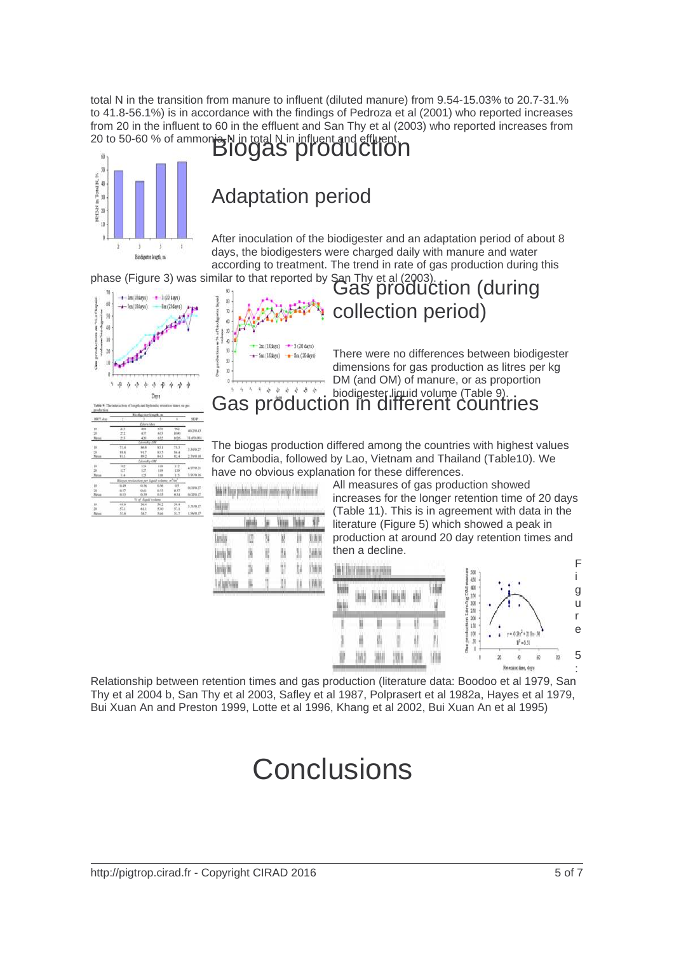total N in the transition from manure to influent (diluted manure) from 9.54-15.03% to 20.7-31.% to 41.8-56.1%) is in accordance with the findings of Pedroza et al (2001) who reported increases from 20 in the influent to 60 in the effluent and San Thy et al (2003) who reported increases from 20 to 50-60 % of ammonia-N in total N in influent and effluent.



#### Adaptation period

After inoculation of the biodigester and an adaptation period of about 8 days, the biodigesters were charged daily with manure and water according to treatment. The trend in rate of gas production during this



|                         | Blodigester length, m. |                                 |       |          |                 |
|-------------------------|------------------------|---------------------------------|-------|----------|-----------------|
| HRT. day                | 3                      |                                 |       |          | SE/P            |
|                         |                        | <b>Eiters</b> Allen             |       |          |                 |
| BE.                     | 233                    | 214                             |       | W.7      | 45,553.43       |
| $\overline{\mathbf{x}}$ | 272                    | 437                             | 633   | 1090     |                 |
| Mean.                   | 345                    | 439                             | 652   | 1026     | 31.681.0031     |
|                         |                        | Literally DM                    |       |          |                 |
| $10-$                   | 13.4                   | An N                            | 85.1  | 78.3     | 3.546.27        |
| $^{36}$                 | is s                   | 91.7                            | 83.5  | 56.4     |                 |
| Moss                    | 81.1                   | 88.2                            | 84.3  | 82.4     | 1.78/0.18       |
|                         |                        | Livesky OM                      |       |          |                 |
| ió                      | 163                    | 134                             | 118   | 112      | 4.97/0.21       |
| $^{36}$                 | 627                    | 137                             | 119   | 120      |                 |
| Abram                   | 114                    | 123                             | 1KK   | 115      | 3.91/0.16       |
|                         |                        | legan predaction per Equid volu |       | ris      |                 |
| <b>IKD</b>              | 0.49                   | 0.54                            | 0.56  | $\alpha$ | 0.03/0.27       |
| $\mathbf{z}$            | 6.57                   | 0.61                            | 6.53  | 8.57     |                 |
| Mein.                   | 853                    | 0.59                            | 0.55  | 0.54     | 0.02/0.17       |
|                         |                        | To off Republicand              |       |          |                 |
| io.                     | 49.0                   | 56.4                            | 56.2  | 50.4     | 3.31/0.17       |
| si                      | 57.1                   | 61.1                            | 53.0  | 57.1     |                 |
| Minni                   | 55.6                   | 54.7                            | 5.4 % | 55.7     | <b>LSM/0.17</b> |

|    | 2m (10days) | $-3(20 \text{ days})$ |  |
|----|-------------|-----------------------|--|
|    | 5m (10days) | 8m (20 days)          |  |
|    |             |                       |  |
| 10 |             |                       |  |
|    |             |                       |  |

phase (Figure 3) was similar to that reported by San Thy et al (2003).<br>Gas production (during collection period)

> There were no differences between biodigester dimensions for gas production as litres per kg DM (and OM) of manure, or as proportion biodigester liquid volume (Table 9).<br>**ON IN different countries**

The biogas production differed among the countries with highest values for Cambodia, followed by Lao, Vietnam and Thailand (Table10). We have no obvious explanation for these differences.

|               | <b>Cushulls</b> |    | <b>VIII</b> | Tioloxí |            |
|---------------|-----------------|----|-------------|---------|------------|
| landa         |                 | ۱  | W           | Ш       | 0 Millet   |
| Lindy DN      | 19              | H) | ₩           | W       | JANK       |
| LinAj (N      | Y)              | W  |             | ţ,      | 13600      |
| of fund viney | Ш               |    |             |         | <b>IMM</b> |

All measures of gas production showed increases for the longer retention time of 20 days (Table 11). This is in agreement with data in the literature (Figure 5) which showed a peak in production at around 20 day retention times and then a decline.



Relationship between retention times and gas production (literature data: Boodoo et al 1979, San Thy et al 2004 b, San Thy et al 2003, Safley et al 1987, Polprasert et al 1982a, Hayes et al 1979, Bui Xuan An and Preston 1999, Lotte et al 1996, Khang et al 2002, Bui Xuan An et al 1995)

## **Conclusions**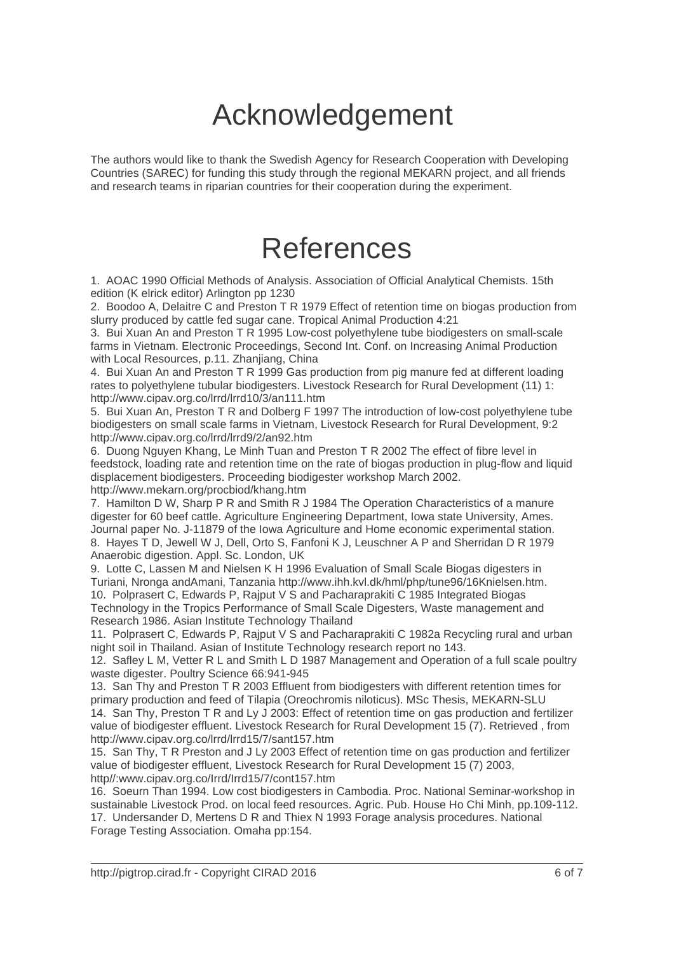## Acknowledgement

The authors would like to thank the Swedish Agency for Research Cooperation with Developing Countries (SAREC) for funding this study through the regional MEKARN project, and all friends and research teams in riparian countries for their cooperation during the experiment.

## References

1. AOAC 1990 Official Methods of Analysis. Association of Official Analytical Chemists. 15th edition (K elrick editor) Arlington pp 1230

2. Boodoo A, Delaitre C and Preston T R 1979 Effect of retention time on biogas production from slurry produced by cattle fed sugar cane. Tropical Animal Production 4:21

3. Bui Xuan An and Preston T R 1995 Low-cost polyethylene tube biodigesters on small-scale farms in Vietnam. Electronic Proceedings, Second Int. Conf. on Increasing Animal Production with Local Resources, p.11. Zhanijang, China

4. Bui Xuan An and Preston T R 1999 Gas production from pig manure fed at different loading rates to polyethylene tubular biodigesters. Livestock Research for Rural Development (11) 1: http://www.cipav.org.co/lrrd/lrrd10/3/an111.htm

5. Bui Xuan An, Preston T R and Dolberg F 1997 The introduction of low-cost polyethylene tube biodigesters on small scale farms in Vietnam, Livestock Research for Rural Development, 9:2 http://www.cipav.org.co/lrrd/lrrd9/2/an92.htm

6. Duong Nguyen Khang, Le Minh Tuan and Preston T R 2002 The effect of fibre level in feedstock, loading rate and retention time on the rate of biogas production in plug-flow and liquid displacement biodigesters. Proceeding biodigester workshop March 2002. http://www.mekarn.org/procbiod/khang.htm

7. Hamilton D W, Sharp P R and Smith R J 1984 The Operation Characteristics of a manure digester for 60 beef cattle. Agriculture Engineering Department, Iowa state University, Ames. Journal paper No. J-11879 of the Iowa Agriculture and Home economic experimental station. 8. Hayes T D, Jewell W J, Dell, Orto S, Fanfoni K J, Leuschner A P and Sherridan D R 1979 Anaerobic digestion. Appl. Sc. London, UK

9. Lotte C, Lassen M and Nielsen K H 1996 Evaluation of Small Scale Biogas digesters in Turiani, Nronga andAmani, Tanzania http://www.ihh.kvl.dk/hml/php/tune96/16Knielsen.htm. 10. Polprasert C, Edwards P, Rajput V S and Pacharaprakiti C 1985 Integrated Biogas Technology in the Tropics Performance of Small Scale Digesters, Waste management and

Research 1986. Asian Institute Technology Thailand

11. Polprasert C, Edwards P, Rajput V S and Pacharaprakiti C 1982a Recycling rural and urban night soil in Thailand. Asian of Institute Technology research report no 143.

12. Safley L M, Vetter R L and Smith L D 1987 Management and Operation of a full scale poultry waste digester. Poultry Science 66:941-945

13. San Thy and Preston T R 2003 Effluent from biodigesters with different retention times for primary production and feed of Tilapia (Oreochromis niloticus). MSc Thesis, MEKARN-SLU 14. San Thy, Preston T R and Ly J 2003: Effect of retention time on gas production and fertilizer value of biodigester effluent. Livestock Research for Rural Development 15 (7). Retrieved , from http://www.cipav.org.co/lrrd/lrrd15/7/sant157.htm

15. San Thy, T R Preston and J Ly 2003 Effect of retention time on gas production and fertilizer value of biodigester effluent, Livestock Research for Rural Development 15 (7) 2003, http//:www.cipav.org.co/Irrd/Irrd15/7/cont157.htm

16. Soeurn Than 1994. Low cost biodigesters in Cambodia. Proc. National Seminar-workshop in sustainable Livestock Prod. on local feed resources. Agric. Pub. House Ho Chi Minh, pp.109-112. 17. Undersander D, Mertens D R and Thiex N 1993 Forage analysis procedures. National Forage Testing Association. Omaha pp:154.